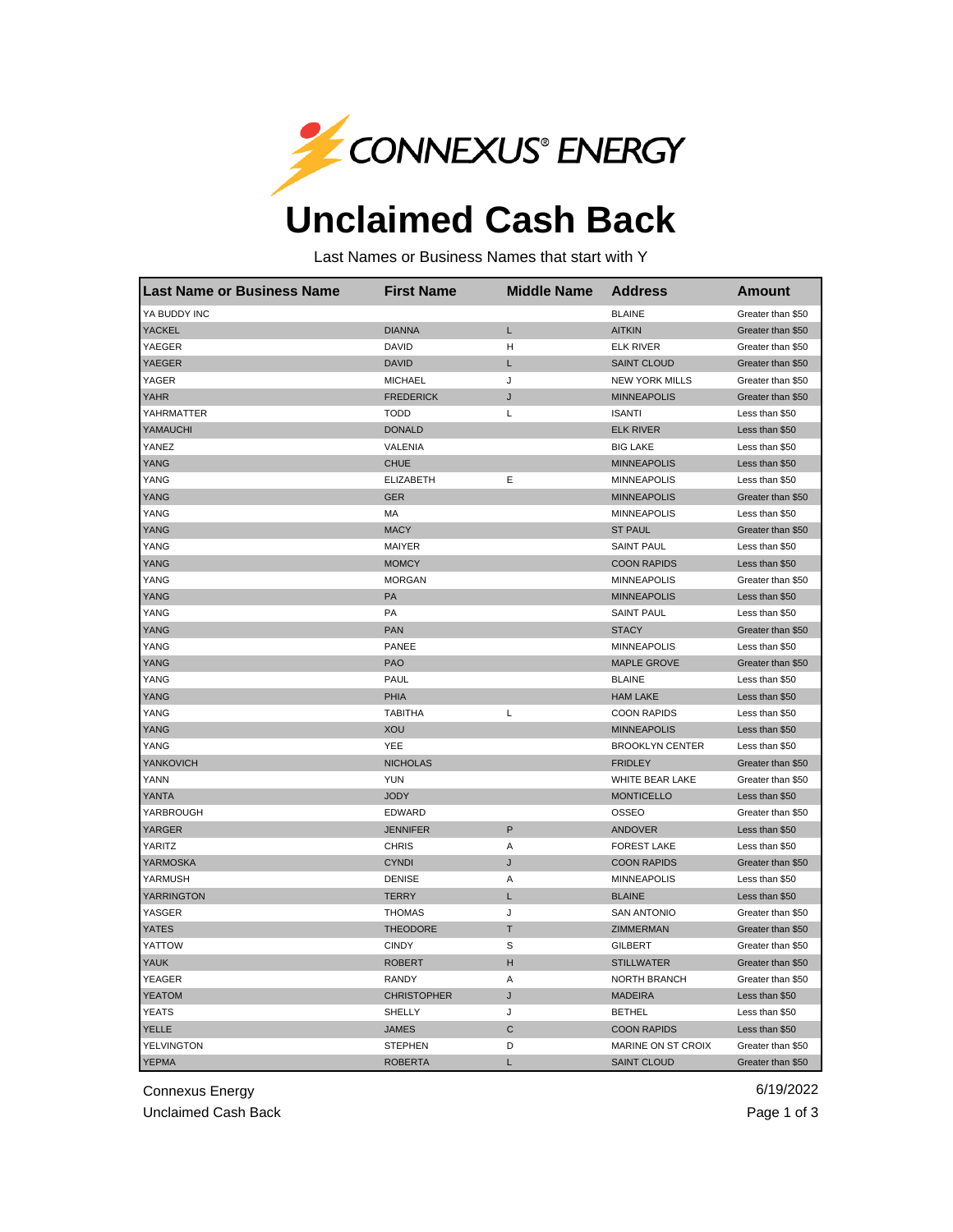

## **Unclaimed Cash Back**

Last Names or Business Names that start with Y

| <b>Last Name or Business Name</b> | <b>First Name</b>  | <b>Middle Name</b> | <b>Address</b>         | <b>Amount</b>     |
|-----------------------------------|--------------------|--------------------|------------------------|-------------------|
| YA BUDDY INC                      |                    |                    | <b>BLAINE</b>          | Greater than \$50 |
| <b>YACKEL</b>                     | <b>DIANNA</b>      | Г                  | <b>AITKIN</b>          | Greater than \$50 |
| YAEGER                            | <b>DAVID</b>       | Н                  | <b>ELK RIVER</b>       | Greater than \$50 |
| YAEGER                            | <b>DAVID</b>       | L                  | <b>SAINT CLOUD</b>     | Greater than \$50 |
| YAGER                             | <b>MICHAEL</b>     | J                  | <b>NEW YORK MILLS</b>  | Greater than \$50 |
| <b>YAHR</b>                       | <b>FREDERICK</b>   | J                  | <b>MINNEAPOLIS</b>     | Greater than \$50 |
| YAHRMATTER                        | <b>TODD</b>        | L                  | <b>ISANTI</b>          | Less than \$50    |
| YAMAUCHI                          | <b>DONALD</b>      |                    | <b>ELK RIVER</b>       | Less than \$50    |
| YANEZ                             | VALENIA            |                    | <b>BIG LAKE</b>        | Less than \$50    |
| <b>YANG</b>                       | <b>CHUE</b>        |                    | <b>MINNEAPOLIS</b>     | Less than \$50    |
| YANG                              | <b>ELIZABETH</b>   | Е                  | <b>MINNEAPOLIS</b>     | Less than \$50    |
| YANG                              | <b>GER</b>         |                    | <b>MINNEAPOLIS</b>     | Greater than \$50 |
| YANG                              | MA                 |                    | <b>MINNEAPOLIS</b>     | Less than \$50    |
| YANG                              | <b>MACY</b>        |                    | <b>ST PAUL</b>         | Greater than \$50 |
| YANG                              | <b>MAIYER</b>      |                    | <b>SAINT PAUL</b>      | Less than \$50    |
| YANG                              | <b>MOMCY</b>       |                    | <b>COON RAPIDS</b>     | Less than \$50    |
| YANG                              | <b>MORGAN</b>      |                    | <b>MINNEAPOLIS</b>     | Greater than \$50 |
| YANG                              | PA                 |                    | <b>MINNEAPOLIS</b>     | Less than \$50    |
| YANG                              | PA                 |                    | <b>SAINT PAUL</b>      | Less than \$50    |
| YANG                              | <b>PAN</b>         |                    | <b>STACY</b>           | Greater than \$50 |
| YANG                              | <b>PANEE</b>       |                    | <b>MINNEAPOLIS</b>     | Less than \$50    |
| <b>YANG</b>                       | <b>PAO</b>         |                    | <b>MAPLE GROVE</b>     | Greater than \$50 |
| YANG                              | <b>PAUL</b>        |                    | <b>BLAINE</b>          | Less than \$50    |
| <b>YANG</b>                       | PHIA               |                    | <b>HAM LAKE</b>        | Less than \$50    |
| YANG                              | <b>TABITHA</b>     | L                  | <b>COON RAPIDS</b>     | Less than \$50    |
| YANG                              | <b>XOU</b>         |                    | <b>MINNEAPOLIS</b>     | Less than \$50    |
| YANG                              | YEE                |                    | <b>BROOKLYN CENTER</b> | Less than \$50    |
| YANKOVICH                         | <b>NICHOLAS</b>    |                    | <b>FRIDLEY</b>         | Greater than \$50 |
| YANN                              | <b>YUN</b>         |                    | WHITE BEAR LAKE        | Greater than \$50 |
| <b>YANTA</b>                      | <b>JODY</b>        |                    | <b>MONTICELLO</b>      | Less than \$50    |
| YARBROUGH                         | EDWARD             |                    | <b>OSSEO</b>           | Greater than \$50 |
| <b>YARGER</b>                     | <b>JENNIFER</b>    | P                  | <b>ANDOVER</b>         | Less than \$50    |
| YARITZ                            | <b>CHRIS</b>       | Α                  | <b>FOREST LAKE</b>     | Less than \$50    |
| YARMOSKA                          | <b>CYNDI</b>       | J                  | <b>COON RAPIDS</b>     | Greater than \$50 |
| YARMUSH                           | <b>DENISE</b>      | A                  | <b>MINNEAPOLIS</b>     | Less than \$50    |
| <b>YARRINGTON</b>                 | <b>TERRY</b>       | L                  | <b>BLAINE</b>          | Less than \$50    |
| YASGER                            | <b>THOMAS</b>      | J                  | <b>SAN ANTONIO</b>     | Greater than \$50 |
| YATES                             | <b>THEODORE</b>    | T                  | ZIMMERMAN              | Greater than \$50 |
| YATTOW                            | <b>CINDY</b>       | S                  | <b>GILBERT</b>         | Greater than \$50 |
| <b>YAUK</b>                       | <b>ROBERT</b>      | Н                  | <b>STILLWATER</b>      | Greater than \$50 |
| <b>YEAGER</b>                     | <b>RANDY</b>       | Α                  | <b>NORTH BRANCH</b>    | Greater than \$50 |
| <b>YEATOM</b>                     | <b>CHRISTOPHER</b> | J                  | <b>MADEIRA</b>         | Less than \$50    |
| <b>YEATS</b>                      | SHELLY             | J                  | <b>BETHEL</b>          | Less than \$50    |
| <b>YELLE</b>                      | <b>JAMES</b>       | C                  | <b>COON RAPIDS</b>     | Less than \$50    |
| YELVINGTON                        | <b>STEPHEN</b>     | D                  | MARINE ON ST CROIX     | Greater than \$50 |
| <b>YEPMA</b>                      | <b>ROBERTA</b>     | L                  | <b>SAINT CLOUD</b>     | Greater than \$50 |

Connexus Energy 6/19/2022

Unclaimed Cash Back **Page 1 of 3**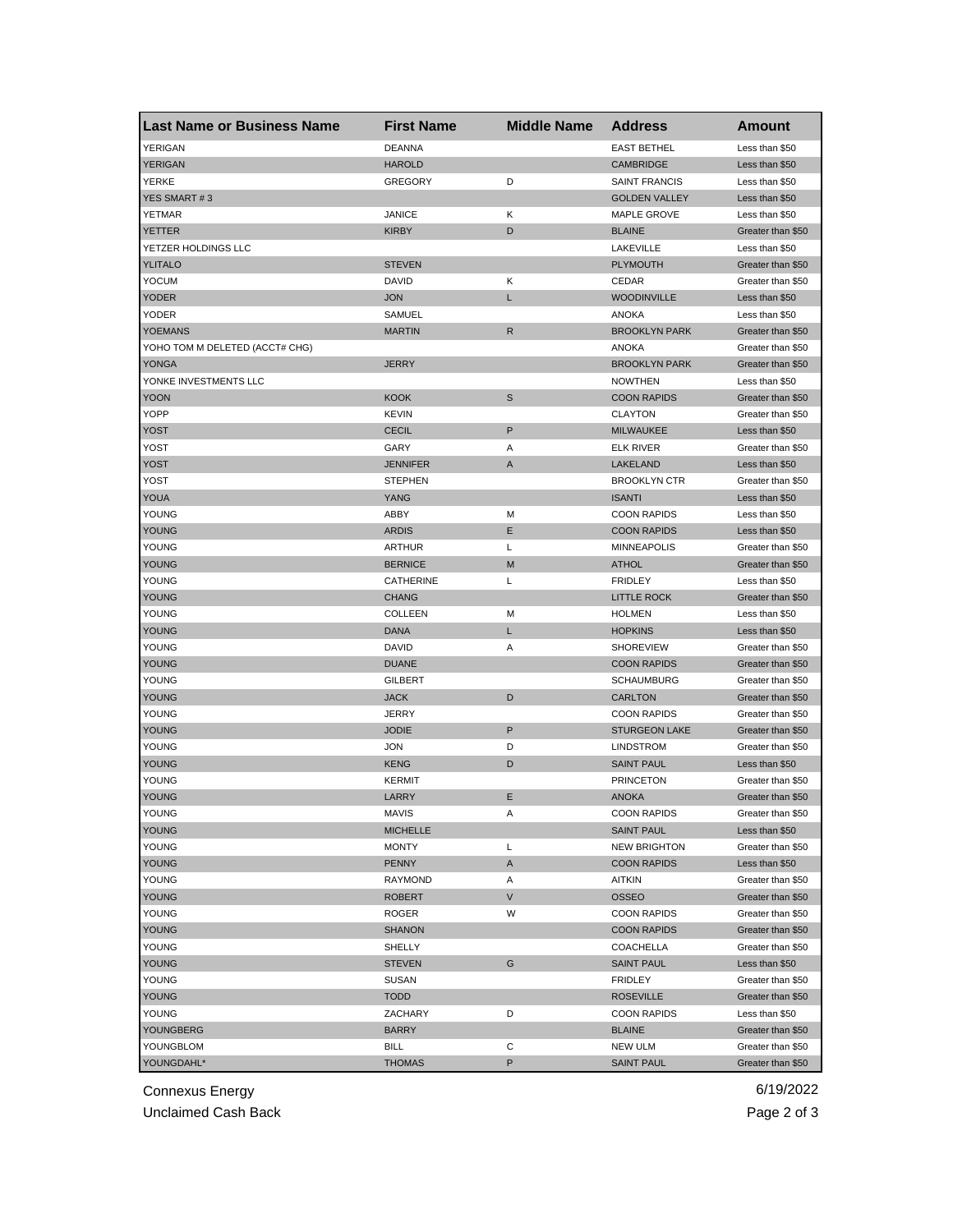| <b>YERIGAN</b><br><b>DEANNA</b><br><b>EAST BETHEL</b><br>Less than \$50<br><b>YERIGAN</b><br><b>HAROLD</b><br><b>CAMBRIDGE</b><br>Less than \$50<br>YERKE<br>D<br><b>SAINT FRANCIS</b><br>Less than \$50<br>GREGORY<br>YES SMART #3<br><b>GOLDEN VALLEY</b><br>Less than \$50<br>YETMAR<br><b>JANICE</b><br>Κ<br><b>MAPLE GROVE</b><br>Less than \$50<br><b>YETTER</b><br>KIRBY<br>D<br><b>BLAINE</b><br>Greater than \$50<br>YETZER HOLDINGS LLC<br>LAKEVILLE<br>Less than \$50<br>YLITALO<br><b>STEVEN</b><br><b>PLYMOUTH</b><br>Greater than \$50<br><b>YOCUM</b><br>DAVID<br>Κ<br>CEDAR<br>Greater than \$50<br><b>YODER</b><br><b>JON</b><br>Г<br><b>WOODINVILLE</b><br>Less than \$50<br>YODER<br><b>ANOKA</b><br>SAMUEL<br>Less than \$50<br><b>YOEMANS</b><br><b>MARTIN</b><br>R<br><b>BROOKLYN PARK</b><br>Greater than \$50<br>YOHO TOM M DELETED (ACCT# CHG)<br><b>ANOKA</b><br>Greater than \$50<br><b>BROOKLYN PARK</b><br><b>YONGA</b><br>JERRY<br>Greater than \$50<br>YONKE INVESTMENTS LLC<br><b>NOWTHEN</b><br>Less than \$50<br>S<br><b>YOON</b><br><b>KOOK</b><br><b>COON RAPIDS</b><br>Greater than \$50<br>YOPP<br><b>KEVIN</b><br><b>CLAYTON</b><br>Greater than \$50<br>P<br>YOST<br><b>CECIL</b><br><b>MILWAUKEE</b><br>Less than \$50<br>YOST<br><b>ELK RIVER</b><br>Greater than \$50<br>GARY<br>Α<br>YOST<br><b>JENNIFER</b><br>Α<br>LAKELAND<br>Less than \$50<br>YOST<br><b>STEPHEN</b><br><b>BROOKLYN CTR</b><br>Greater than \$50<br>YOUA<br>YANG<br><b>ISANTI</b><br>Less than \$50<br>YOUNG<br>ABBY<br>М<br><b>COON RAPIDS</b><br>Less than \$50<br><b>YOUNG</b><br>Ε<br><b>ARDIS</b><br><b>COON RAPIDS</b><br>Less than \$50<br>YOUNG<br>Г<br><b>MINNEAPOLIS</b><br>ARTHUR<br>Greater than \$50<br>YOUNG<br><b>BERNICE</b><br>M<br><b>ATHOL</b><br>Greater than \$50<br>L<br><b>FRIDLEY</b><br>YOUNG<br>CATHERINE<br>Less than \$50<br>YOUNG<br><b>CHANG</b><br><b>LITTLE ROCK</b><br>Greater than \$50<br>YOUNG<br><b>COLLEEN</b><br>М<br><b>HOLMEN</b><br>Less than \$50<br>YOUNG<br>DANA<br>Г<br><b>HOPKINS</b><br>Less than \$50<br>YOUNG<br><b>DAVID</b><br>Α<br><b>SHOREVIEW</b><br>Greater than \$50<br>YOUNG<br><b>DUANE</b><br><b>COON RAPIDS</b><br>Greater than \$50<br>YOUNG<br><b>SCHAUMBURG</b><br><b>GILBERT</b><br>Greater than \$50<br>YOUNG<br><b>JACK</b><br>D<br><b>CARLTON</b><br>Greater than \$50<br>YOUNG<br><b>JERRY</b><br><b>COON RAPIDS</b><br>Greater than \$50<br>P<br>YOUNG<br><b>JODIE</b><br><b>STURGEON LAKE</b><br>Greater than \$50<br>YOUNG<br><b>JON</b><br>D<br><b>LINDSTROM</b><br>Greater than \$50<br>YOUNG<br><b>KENG</b><br>D<br><b>SAINT PAUL</b><br>Less than \$50<br>YOUNG<br><b>KERMIT</b><br><b>PRINCETON</b><br>Greater than \$50<br><b>YOUNG</b><br>LARRY<br>Ε<br><b>ANOKA</b><br>Greater than \$50<br>YOUNG<br>MAVIS<br>Α<br>COON RAPIDS<br>Greater than \$50<br>YOUNG<br><b>SAINT PAUL</b><br>Less than \$50<br><b>MICHELLE</b><br>YOUNG<br><b>MONTY</b><br>L<br><b>NEW BRIGHTON</b><br>Greater than \$50<br>YOUNG<br>PENNY<br>A<br><b>COON RAPIDS</b><br>Less than \$50<br>YOUNG<br>RAYMOND<br><b>AITKIN</b><br>Greater than \$50<br>Α | <b>Last Name or Business Name</b> | <b>First Name</b> | <b>Middle Name</b> | <b>Address</b> | Amount |
|---------------------------------------------------------------------------------------------------------------------------------------------------------------------------------------------------------------------------------------------------------------------------------------------------------------------------------------------------------------------------------------------------------------------------------------------------------------------------------------------------------------------------------------------------------------------------------------------------------------------------------------------------------------------------------------------------------------------------------------------------------------------------------------------------------------------------------------------------------------------------------------------------------------------------------------------------------------------------------------------------------------------------------------------------------------------------------------------------------------------------------------------------------------------------------------------------------------------------------------------------------------------------------------------------------------------------------------------------------------------------------------------------------------------------------------------------------------------------------------------------------------------------------------------------------------------------------------------------------------------------------------------------------------------------------------------------------------------------------------------------------------------------------------------------------------------------------------------------------------------------------------------------------------------------------------------------------------------------------------------------------------------------------------------------------------------------------------------------------------------------------------------------------------------------------------------------------------------------------------------------------------------------------------------------------------------------------------------------------------------------------------------------------------------------------------------------------------------------------------------------------------------------------------------------------------------------------------------------------------------------------------------------------------------------------------------------------------------------------------------------------------------------------------------------------------------------------------------------------------------------------------------------------------------------------------------------------------------------------------------------------------------------------------------------------------------------------------------------------------------------------|-----------------------------------|-------------------|--------------------|----------------|--------|
|                                                                                                                                                                                                                                                                                                                                                                                                                                                                                                                                                                                                                                                                                                                                                                                                                                                                                                                                                                                                                                                                                                                                                                                                                                                                                                                                                                                                                                                                                                                                                                                                                                                                                                                                                                                                                                                                                                                                                                                                                                                                                                                                                                                                                                                                                                                                                                                                                                                                                                                                                                                                                                                                                                                                                                                                                                                                                                                                                                                                                                                                                                                                 |                                   |                   |                    |                |        |
|                                                                                                                                                                                                                                                                                                                                                                                                                                                                                                                                                                                                                                                                                                                                                                                                                                                                                                                                                                                                                                                                                                                                                                                                                                                                                                                                                                                                                                                                                                                                                                                                                                                                                                                                                                                                                                                                                                                                                                                                                                                                                                                                                                                                                                                                                                                                                                                                                                                                                                                                                                                                                                                                                                                                                                                                                                                                                                                                                                                                                                                                                                                                 |                                   |                   |                    |                |        |
|                                                                                                                                                                                                                                                                                                                                                                                                                                                                                                                                                                                                                                                                                                                                                                                                                                                                                                                                                                                                                                                                                                                                                                                                                                                                                                                                                                                                                                                                                                                                                                                                                                                                                                                                                                                                                                                                                                                                                                                                                                                                                                                                                                                                                                                                                                                                                                                                                                                                                                                                                                                                                                                                                                                                                                                                                                                                                                                                                                                                                                                                                                                                 |                                   |                   |                    |                |        |
|                                                                                                                                                                                                                                                                                                                                                                                                                                                                                                                                                                                                                                                                                                                                                                                                                                                                                                                                                                                                                                                                                                                                                                                                                                                                                                                                                                                                                                                                                                                                                                                                                                                                                                                                                                                                                                                                                                                                                                                                                                                                                                                                                                                                                                                                                                                                                                                                                                                                                                                                                                                                                                                                                                                                                                                                                                                                                                                                                                                                                                                                                                                                 |                                   |                   |                    |                |        |
|                                                                                                                                                                                                                                                                                                                                                                                                                                                                                                                                                                                                                                                                                                                                                                                                                                                                                                                                                                                                                                                                                                                                                                                                                                                                                                                                                                                                                                                                                                                                                                                                                                                                                                                                                                                                                                                                                                                                                                                                                                                                                                                                                                                                                                                                                                                                                                                                                                                                                                                                                                                                                                                                                                                                                                                                                                                                                                                                                                                                                                                                                                                                 |                                   |                   |                    |                |        |
|                                                                                                                                                                                                                                                                                                                                                                                                                                                                                                                                                                                                                                                                                                                                                                                                                                                                                                                                                                                                                                                                                                                                                                                                                                                                                                                                                                                                                                                                                                                                                                                                                                                                                                                                                                                                                                                                                                                                                                                                                                                                                                                                                                                                                                                                                                                                                                                                                                                                                                                                                                                                                                                                                                                                                                                                                                                                                                                                                                                                                                                                                                                                 |                                   |                   |                    |                |        |
|                                                                                                                                                                                                                                                                                                                                                                                                                                                                                                                                                                                                                                                                                                                                                                                                                                                                                                                                                                                                                                                                                                                                                                                                                                                                                                                                                                                                                                                                                                                                                                                                                                                                                                                                                                                                                                                                                                                                                                                                                                                                                                                                                                                                                                                                                                                                                                                                                                                                                                                                                                                                                                                                                                                                                                                                                                                                                                                                                                                                                                                                                                                                 |                                   |                   |                    |                |        |
|                                                                                                                                                                                                                                                                                                                                                                                                                                                                                                                                                                                                                                                                                                                                                                                                                                                                                                                                                                                                                                                                                                                                                                                                                                                                                                                                                                                                                                                                                                                                                                                                                                                                                                                                                                                                                                                                                                                                                                                                                                                                                                                                                                                                                                                                                                                                                                                                                                                                                                                                                                                                                                                                                                                                                                                                                                                                                                                                                                                                                                                                                                                                 |                                   |                   |                    |                |        |
|                                                                                                                                                                                                                                                                                                                                                                                                                                                                                                                                                                                                                                                                                                                                                                                                                                                                                                                                                                                                                                                                                                                                                                                                                                                                                                                                                                                                                                                                                                                                                                                                                                                                                                                                                                                                                                                                                                                                                                                                                                                                                                                                                                                                                                                                                                                                                                                                                                                                                                                                                                                                                                                                                                                                                                                                                                                                                                                                                                                                                                                                                                                                 |                                   |                   |                    |                |        |
|                                                                                                                                                                                                                                                                                                                                                                                                                                                                                                                                                                                                                                                                                                                                                                                                                                                                                                                                                                                                                                                                                                                                                                                                                                                                                                                                                                                                                                                                                                                                                                                                                                                                                                                                                                                                                                                                                                                                                                                                                                                                                                                                                                                                                                                                                                                                                                                                                                                                                                                                                                                                                                                                                                                                                                                                                                                                                                                                                                                                                                                                                                                                 |                                   |                   |                    |                |        |
|                                                                                                                                                                                                                                                                                                                                                                                                                                                                                                                                                                                                                                                                                                                                                                                                                                                                                                                                                                                                                                                                                                                                                                                                                                                                                                                                                                                                                                                                                                                                                                                                                                                                                                                                                                                                                                                                                                                                                                                                                                                                                                                                                                                                                                                                                                                                                                                                                                                                                                                                                                                                                                                                                                                                                                                                                                                                                                                                                                                                                                                                                                                                 |                                   |                   |                    |                |        |
|                                                                                                                                                                                                                                                                                                                                                                                                                                                                                                                                                                                                                                                                                                                                                                                                                                                                                                                                                                                                                                                                                                                                                                                                                                                                                                                                                                                                                                                                                                                                                                                                                                                                                                                                                                                                                                                                                                                                                                                                                                                                                                                                                                                                                                                                                                                                                                                                                                                                                                                                                                                                                                                                                                                                                                                                                                                                                                                                                                                                                                                                                                                                 |                                   |                   |                    |                |        |
|                                                                                                                                                                                                                                                                                                                                                                                                                                                                                                                                                                                                                                                                                                                                                                                                                                                                                                                                                                                                                                                                                                                                                                                                                                                                                                                                                                                                                                                                                                                                                                                                                                                                                                                                                                                                                                                                                                                                                                                                                                                                                                                                                                                                                                                                                                                                                                                                                                                                                                                                                                                                                                                                                                                                                                                                                                                                                                                                                                                                                                                                                                                                 |                                   |                   |                    |                |        |
|                                                                                                                                                                                                                                                                                                                                                                                                                                                                                                                                                                                                                                                                                                                                                                                                                                                                                                                                                                                                                                                                                                                                                                                                                                                                                                                                                                                                                                                                                                                                                                                                                                                                                                                                                                                                                                                                                                                                                                                                                                                                                                                                                                                                                                                                                                                                                                                                                                                                                                                                                                                                                                                                                                                                                                                                                                                                                                                                                                                                                                                                                                                                 |                                   |                   |                    |                |        |
|                                                                                                                                                                                                                                                                                                                                                                                                                                                                                                                                                                                                                                                                                                                                                                                                                                                                                                                                                                                                                                                                                                                                                                                                                                                                                                                                                                                                                                                                                                                                                                                                                                                                                                                                                                                                                                                                                                                                                                                                                                                                                                                                                                                                                                                                                                                                                                                                                                                                                                                                                                                                                                                                                                                                                                                                                                                                                                                                                                                                                                                                                                                                 |                                   |                   |                    |                |        |
|                                                                                                                                                                                                                                                                                                                                                                                                                                                                                                                                                                                                                                                                                                                                                                                                                                                                                                                                                                                                                                                                                                                                                                                                                                                                                                                                                                                                                                                                                                                                                                                                                                                                                                                                                                                                                                                                                                                                                                                                                                                                                                                                                                                                                                                                                                                                                                                                                                                                                                                                                                                                                                                                                                                                                                                                                                                                                                                                                                                                                                                                                                                                 |                                   |                   |                    |                |        |
|                                                                                                                                                                                                                                                                                                                                                                                                                                                                                                                                                                                                                                                                                                                                                                                                                                                                                                                                                                                                                                                                                                                                                                                                                                                                                                                                                                                                                                                                                                                                                                                                                                                                                                                                                                                                                                                                                                                                                                                                                                                                                                                                                                                                                                                                                                                                                                                                                                                                                                                                                                                                                                                                                                                                                                                                                                                                                                                                                                                                                                                                                                                                 |                                   |                   |                    |                |        |
|                                                                                                                                                                                                                                                                                                                                                                                                                                                                                                                                                                                                                                                                                                                                                                                                                                                                                                                                                                                                                                                                                                                                                                                                                                                                                                                                                                                                                                                                                                                                                                                                                                                                                                                                                                                                                                                                                                                                                                                                                                                                                                                                                                                                                                                                                                                                                                                                                                                                                                                                                                                                                                                                                                                                                                                                                                                                                                                                                                                                                                                                                                                                 |                                   |                   |                    |                |        |
|                                                                                                                                                                                                                                                                                                                                                                                                                                                                                                                                                                                                                                                                                                                                                                                                                                                                                                                                                                                                                                                                                                                                                                                                                                                                                                                                                                                                                                                                                                                                                                                                                                                                                                                                                                                                                                                                                                                                                                                                                                                                                                                                                                                                                                                                                                                                                                                                                                                                                                                                                                                                                                                                                                                                                                                                                                                                                                                                                                                                                                                                                                                                 |                                   |                   |                    |                |        |
|                                                                                                                                                                                                                                                                                                                                                                                                                                                                                                                                                                                                                                                                                                                                                                                                                                                                                                                                                                                                                                                                                                                                                                                                                                                                                                                                                                                                                                                                                                                                                                                                                                                                                                                                                                                                                                                                                                                                                                                                                                                                                                                                                                                                                                                                                                                                                                                                                                                                                                                                                                                                                                                                                                                                                                                                                                                                                                                                                                                                                                                                                                                                 |                                   |                   |                    |                |        |
|                                                                                                                                                                                                                                                                                                                                                                                                                                                                                                                                                                                                                                                                                                                                                                                                                                                                                                                                                                                                                                                                                                                                                                                                                                                                                                                                                                                                                                                                                                                                                                                                                                                                                                                                                                                                                                                                                                                                                                                                                                                                                                                                                                                                                                                                                                                                                                                                                                                                                                                                                                                                                                                                                                                                                                                                                                                                                                                                                                                                                                                                                                                                 |                                   |                   |                    |                |        |
|                                                                                                                                                                                                                                                                                                                                                                                                                                                                                                                                                                                                                                                                                                                                                                                                                                                                                                                                                                                                                                                                                                                                                                                                                                                                                                                                                                                                                                                                                                                                                                                                                                                                                                                                                                                                                                                                                                                                                                                                                                                                                                                                                                                                                                                                                                                                                                                                                                                                                                                                                                                                                                                                                                                                                                                                                                                                                                                                                                                                                                                                                                                                 |                                   |                   |                    |                |        |
|                                                                                                                                                                                                                                                                                                                                                                                                                                                                                                                                                                                                                                                                                                                                                                                                                                                                                                                                                                                                                                                                                                                                                                                                                                                                                                                                                                                                                                                                                                                                                                                                                                                                                                                                                                                                                                                                                                                                                                                                                                                                                                                                                                                                                                                                                                                                                                                                                                                                                                                                                                                                                                                                                                                                                                                                                                                                                                                                                                                                                                                                                                                                 |                                   |                   |                    |                |        |
|                                                                                                                                                                                                                                                                                                                                                                                                                                                                                                                                                                                                                                                                                                                                                                                                                                                                                                                                                                                                                                                                                                                                                                                                                                                                                                                                                                                                                                                                                                                                                                                                                                                                                                                                                                                                                                                                                                                                                                                                                                                                                                                                                                                                                                                                                                                                                                                                                                                                                                                                                                                                                                                                                                                                                                                                                                                                                                                                                                                                                                                                                                                                 |                                   |                   |                    |                |        |
|                                                                                                                                                                                                                                                                                                                                                                                                                                                                                                                                                                                                                                                                                                                                                                                                                                                                                                                                                                                                                                                                                                                                                                                                                                                                                                                                                                                                                                                                                                                                                                                                                                                                                                                                                                                                                                                                                                                                                                                                                                                                                                                                                                                                                                                                                                                                                                                                                                                                                                                                                                                                                                                                                                                                                                                                                                                                                                                                                                                                                                                                                                                                 |                                   |                   |                    |                |        |
|                                                                                                                                                                                                                                                                                                                                                                                                                                                                                                                                                                                                                                                                                                                                                                                                                                                                                                                                                                                                                                                                                                                                                                                                                                                                                                                                                                                                                                                                                                                                                                                                                                                                                                                                                                                                                                                                                                                                                                                                                                                                                                                                                                                                                                                                                                                                                                                                                                                                                                                                                                                                                                                                                                                                                                                                                                                                                                                                                                                                                                                                                                                                 |                                   |                   |                    |                |        |
|                                                                                                                                                                                                                                                                                                                                                                                                                                                                                                                                                                                                                                                                                                                                                                                                                                                                                                                                                                                                                                                                                                                                                                                                                                                                                                                                                                                                                                                                                                                                                                                                                                                                                                                                                                                                                                                                                                                                                                                                                                                                                                                                                                                                                                                                                                                                                                                                                                                                                                                                                                                                                                                                                                                                                                                                                                                                                                                                                                                                                                                                                                                                 |                                   |                   |                    |                |        |
|                                                                                                                                                                                                                                                                                                                                                                                                                                                                                                                                                                                                                                                                                                                                                                                                                                                                                                                                                                                                                                                                                                                                                                                                                                                                                                                                                                                                                                                                                                                                                                                                                                                                                                                                                                                                                                                                                                                                                                                                                                                                                                                                                                                                                                                                                                                                                                                                                                                                                                                                                                                                                                                                                                                                                                                                                                                                                                                                                                                                                                                                                                                                 |                                   |                   |                    |                |        |
|                                                                                                                                                                                                                                                                                                                                                                                                                                                                                                                                                                                                                                                                                                                                                                                                                                                                                                                                                                                                                                                                                                                                                                                                                                                                                                                                                                                                                                                                                                                                                                                                                                                                                                                                                                                                                                                                                                                                                                                                                                                                                                                                                                                                                                                                                                                                                                                                                                                                                                                                                                                                                                                                                                                                                                                                                                                                                                                                                                                                                                                                                                                                 |                                   |                   |                    |                |        |
|                                                                                                                                                                                                                                                                                                                                                                                                                                                                                                                                                                                                                                                                                                                                                                                                                                                                                                                                                                                                                                                                                                                                                                                                                                                                                                                                                                                                                                                                                                                                                                                                                                                                                                                                                                                                                                                                                                                                                                                                                                                                                                                                                                                                                                                                                                                                                                                                                                                                                                                                                                                                                                                                                                                                                                                                                                                                                                                                                                                                                                                                                                                                 |                                   |                   |                    |                |        |
|                                                                                                                                                                                                                                                                                                                                                                                                                                                                                                                                                                                                                                                                                                                                                                                                                                                                                                                                                                                                                                                                                                                                                                                                                                                                                                                                                                                                                                                                                                                                                                                                                                                                                                                                                                                                                                                                                                                                                                                                                                                                                                                                                                                                                                                                                                                                                                                                                                                                                                                                                                                                                                                                                                                                                                                                                                                                                                                                                                                                                                                                                                                                 |                                   |                   |                    |                |        |
|                                                                                                                                                                                                                                                                                                                                                                                                                                                                                                                                                                                                                                                                                                                                                                                                                                                                                                                                                                                                                                                                                                                                                                                                                                                                                                                                                                                                                                                                                                                                                                                                                                                                                                                                                                                                                                                                                                                                                                                                                                                                                                                                                                                                                                                                                                                                                                                                                                                                                                                                                                                                                                                                                                                                                                                                                                                                                                                                                                                                                                                                                                                                 |                                   |                   |                    |                |        |
|                                                                                                                                                                                                                                                                                                                                                                                                                                                                                                                                                                                                                                                                                                                                                                                                                                                                                                                                                                                                                                                                                                                                                                                                                                                                                                                                                                                                                                                                                                                                                                                                                                                                                                                                                                                                                                                                                                                                                                                                                                                                                                                                                                                                                                                                                                                                                                                                                                                                                                                                                                                                                                                                                                                                                                                                                                                                                                                                                                                                                                                                                                                                 |                                   |                   |                    |                |        |
|                                                                                                                                                                                                                                                                                                                                                                                                                                                                                                                                                                                                                                                                                                                                                                                                                                                                                                                                                                                                                                                                                                                                                                                                                                                                                                                                                                                                                                                                                                                                                                                                                                                                                                                                                                                                                                                                                                                                                                                                                                                                                                                                                                                                                                                                                                                                                                                                                                                                                                                                                                                                                                                                                                                                                                                                                                                                                                                                                                                                                                                                                                                                 |                                   |                   |                    |                |        |
|                                                                                                                                                                                                                                                                                                                                                                                                                                                                                                                                                                                                                                                                                                                                                                                                                                                                                                                                                                                                                                                                                                                                                                                                                                                                                                                                                                                                                                                                                                                                                                                                                                                                                                                                                                                                                                                                                                                                                                                                                                                                                                                                                                                                                                                                                                                                                                                                                                                                                                                                                                                                                                                                                                                                                                                                                                                                                                                                                                                                                                                                                                                                 |                                   |                   |                    |                |        |
|                                                                                                                                                                                                                                                                                                                                                                                                                                                                                                                                                                                                                                                                                                                                                                                                                                                                                                                                                                                                                                                                                                                                                                                                                                                                                                                                                                                                                                                                                                                                                                                                                                                                                                                                                                                                                                                                                                                                                                                                                                                                                                                                                                                                                                                                                                                                                                                                                                                                                                                                                                                                                                                                                                                                                                                                                                                                                                                                                                                                                                                                                                                                 |                                   |                   |                    |                |        |
|                                                                                                                                                                                                                                                                                                                                                                                                                                                                                                                                                                                                                                                                                                                                                                                                                                                                                                                                                                                                                                                                                                                                                                                                                                                                                                                                                                                                                                                                                                                                                                                                                                                                                                                                                                                                                                                                                                                                                                                                                                                                                                                                                                                                                                                                                                                                                                                                                                                                                                                                                                                                                                                                                                                                                                                                                                                                                                                                                                                                                                                                                                                                 |                                   |                   |                    |                |        |
|                                                                                                                                                                                                                                                                                                                                                                                                                                                                                                                                                                                                                                                                                                                                                                                                                                                                                                                                                                                                                                                                                                                                                                                                                                                                                                                                                                                                                                                                                                                                                                                                                                                                                                                                                                                                                                                                                                                                                                                                                                                                                                                                                                                                                                                                                                                                                                                                                                                                                                                                                                                                                                                                                                                                                                                                                                                                                                                                                                                                                                                                                                                                 |                                   |                   |                    |                |        |
|                                                                                                                                                                                                                                                                                                                                                                                                                                                                                                                                                                                                                                                                                                                                                                                                                                                                                                                                                                                                                                                                                                                                                                                                                                                                                                                                                                                                                                                                                                                                                                                                                                                                                                                                                                                                                                                                                                                                                                                                                                                                                                                                                                                                                                                                                                                                                                                                                                                                                                                                                                                                                                                                                                                                                                                                                                                                                                                                                                                                                                                                                                                                 |                                   |                   |                    |                |        |
|                                                                                                                                                                                                                                                                                                                                                                                                                                                                                                                                                                                                                                                                                                                                                                                                                                                                                                                                                                                                                                                                                                                                                                                                                                                                                                                                                                                                                                                                                                                                                                                                                                                                                                                                                                                                                                                                                                                                                                                                                                                                                                                                                                                                                                                                                                                                                                                                                                                                                                                                                                                                                                                                                                                                                                                                                                                                                                                                                                                                                                                                                                                                 |                                   |                   |                    |                |        |
|                                                                                                                                                                                                                                                                                                                                                                                                                                                                                                                                                                                                                                                                                                                                                                                                                                                                                                                                                                                                                                                                                                                                                                                                                                                                                                                                                                                                                                                                                                                                                                                                                                                                                                                                                                                                                                                                                                                                                                                                                                                                                                                                                                                                                                                                                                                                                                                                                                                                                                                                                                                                                                                                                                                                                                                                                                                                                                                                                                                                                                                                                                                                 |                                   |                   |                    |                |        |
|                                                                                                                                                                                                                                                                                                                                                                                                                                                                                                                                                                                                                                                                                                                                                                                                                                                                                                                                                                                                                                                                                                                                                                                                                                                                                                                                                                                                                                                                                                                                                                                                                                                                                                                                                                                                                                                                                                                                                                                                                                                                                                                                                                                                                                                                                                                                                                                                                                                                                                                                                                                                                                                                                                                                                                                                                                                                                                                                                                                                                                                                                                                                 |                                   |                   |                    |                |        |
|                                                                                                                                                                                                                                                                                                                                                                                                                                                                                                                                                                                                                                                                                                                                                                                                                                                                                                                                                                                                                                                                                                                                                                                                                                                                                                                                                                                                                                                                                                                                                                                                                                                                                                                                                                                                                                                                                                                                                                                                                                                                                                                                                                                                                                                                                                                                                                                                                                                                                                                                                                                                                                                                                                                                                                                                                                                                                                                                                                                                                                                                                                                                 |                                   |                   |                    |                |        |
|                                                                                                                                                                                                                                                                                                                                                                                                                                                                                                                                                                                                                                                                                                                                                                                                                                                                                                                                                                                                                                                                                                                                                                                                                                                                                                                                                                                                                                                                                                                                                                                                                                                                                                                                                                                                                                                                                                                                                                                                                                                                                                                                                                                                                                                                                                                                                                                                                                                                                                                                                                                                                                                                                                                                                                                                                                                                                                                                                                                                                                                                                                                                 |                                   |                   |                    |                |        |
|                                                                                                                                                                                                                                                                                                                                                                                                                                                                                                                                                                                                                                                                                                                                                                                                                                                                                                                                                                                                                                                                                                                                                                                                                                                                                                                                                                                                                                                                                                                                                                                                                                                                                                                                                                                                                                                                                                                                                                                                                                                                                                                                                                                                                                                                                                                                                                                                                                                                                                                                                                                                                                                                                                                                                                                                                                                                                                                                                                                                                                                                                                                                 |                                   |                   |                    |                |        |
| YOUNG<br>V<br><b>ROBERT</b><br><b>OSSEO</b><br>Greater than \$50                                                                                                                                                                                                                                                                                                                                                                                                                                                                                                                                                                                                                                                                                                                                                                                                                                                                                                                                                                                                                                                                                                                                                                                                                                                                                                                                                                                                                                                                                                                                                                                                                                                                                                                                                                                                                                                                                                                                                                                                                                                                                                                                                                                                                                                                                                                                                                                                                                                                                                                                                                                                                                                                                                                                                                                                                                                                                                                                                                                                                                                                |                                   |                   |                    |                |        |
| YOUNG<br>ROGER<br>W<br><b>COON RAPIDS</b><br>Greater than \$50                                                                                                                                                                                                                                                                                                                                                                                                                                                                                                                                                                                                                                                                                                                                                                                                                                                                                                                                                                                                                                                                                                                                                                                                                                                                                                                                                                                                                                                                                                                                                                                                                                                                                                                                                                                                                                                                                                                                                                                                                                                                                                                                                                                                                                                                                                                                                                                                                                                                                                                                                                                                                                                                                                                                                                                                                                                                                                                                                                                                                                                                  |                                   |                   |                    |                |        |
| YOUNG<br><b>SHANON</b><br><b>COON RAPIDS</b><br>Greater than \$50                                                                                                                                                                                                                                                                                                                                                                                                                                                                                                                                                                                                                                                                                                                                                                                                                                                                                                                                                                                                                                                                                                                                                                                                                                                                                                                                                                                                                                                                                                                                                                                                                                                                                                                                                                                                                                                                                                                                                                                                                                                                                                                                                                                                                                                                                                                                                                                                                                                                                                                                                                                                                                                                                                                                                                                                                                                                                                                                                                                                                                                               |                                   |                   |                    |                |        |
| YOUNG<br>SHELLY<br>COACHELLA<br>Greater than \$50                                                                                                                                                                                                                                                                                                                                                                                                                                                                                                                                                                                                                                                                                                                                                                                                                                                                                                                                                                                                                                                                                                                                                                                                                                                                                                                                                                                                                                                                                                                                                                                                                                                                                                                                                                                                                                                                                                                                                                                                                                                                                                                                                                                                                                                                                                                                                                                                                                                                                                                                                                                                                                                                                                                                                                                                                                                                                                                                                                                                                                                                               |                                   |                   |                    |                |        |
| YOUNG<br><b>STEVEN</b><br>G<br><b>SAINT PAUL</b><br>Less than \$50                                                                                                                                                                                                                                                                                                                                                                                                                                                                                                                                                                                                                                                                                                                                                                                                                                                                                                                                                                                                                                                                                                                                                                                                                                                                                                                                                                                                                                                                                                                                                                                                                                                                                                                                                                                                                                                                                                                                                                                                                                                                                                                                                                                                                                                                                                                                                                                                                                                                                                                                                                                                                                                                                                                                                                                                                                                                                                                                                                                                                                                              |                                   |                   |                    |                |        |
| YOUNG<br><b>SUSAN</b><br><b>FRIDLEY</b><br>Greater than \$50                                                                                                                                                                                                                                                                                                                                                                                                                                                                                                                                                                                                                                                                                                                                                                                                                                                                                                                                                                                                                                                                                                                                                                                                                                                                                                                                                                                                                                                                                                                                                                                                                                                                                                                                                                                                                                                                                                                                                                                                                                                                                                                                                                                                                                                                                                                                                                                                                                                                                                                                                                                                                                                                                                                                                                                                                                                                                                                                                                                                                                                                    |                                   |                   |                    |                |        |
| YOUNG<br><b>TODD</b><br><b>ROSEVILLE</b><br>Greater than \$50                                                                                                                                                                                                                                                                                                                                                                                                                                                                                                                                                                                                                                                                                                                                                                                                                                                                                                                                                                                                                                                                                                                                                                                                                                                                                                                                                                                                                                                                                                                                                                                                                                                                                                                                                                                                                                                                                                                                                                                                                                                                                                                                                                                                                                                                                                                                                                                                                                                                                                                                                                                                                                                                                                                                                                                                                                                                                                                                                                                                                                                                   |                                   |                   |                    |                |        |
| YOUNG<br>ZACHARY<br>D<br><b>COON RAPIDS</b><br>Less than \$50                                                                                                                                                                                                                                                                                                                                                                                                                                                                                                                                                                                                                                                                                                                                                                                                                                                                                                                                                                                                                                                                                                                                                                                                                                                                                                                                                                                                                                                                                                                                                                                                                                                                                                                                                                                                                                                                                                                                                                                                                                                                                                                                                                                                                                                                                                                                                                                                                                                                                                                                                                                                                                                                                                                                                                                                                                                                                                                                                                                                                                                                   |                                   |                   |                    |                |        |
| YOUNGBERG<br><b>BARRY</b><br><b>BLAINE</b><br>Greater than \$50                                                                                                                                                                                                                                                                                                                                                                                                                                                                                                                                                                                                                                                                                                                                                                                                                                                                                                                                                                                                                                                                                                                                                                                                                                                                                                                                                                                                                                                                                                                                                                                                                                                                                                                                                                                                                                                                                                                                                                                                                                                                                                                                                                                                                                                                                                                                                                                                                                                                                                                                                                                                                                                                                                                                                                                                                                                                                                                                                                                                                                                                 |                                   |                   |                    |                |        |
| С<br>YOUNGBLOM<br>BILL<br>NEW ULM<br>Greater than \$50                                                                                                                                                                                                                                                                                                                                                                                                                                                                                                                                                                                                                                                                                                                                                                                                                                                                                                                                                                                                                                                                                                                                                                                                                                                                                                                                                                                                                                                                                                                                                                                                                                                                                                                                                                                                                                                                                                                                                                                                                                                                                                                                                                                                                                                                                                                                                                                                                                                                                                                                                                                                                                                                                                                                                                                                                                                                                                                                                                                                                                                                          |                                   |                   |                    |                |        |
| YOUNGDAHL*<br><b>THOMAS</b><br>P<br><b>SAINT PAUL</b><br>Greater than \$50                                                                                                                                                                                                                                                                                                                                                                                                                                                                                                                                                                                                                                                                                                                                                                                                                                                                                                                                                                                                                                                                                                                                                                                                                                                                                                                                                                                                                                                                                                                                                                                                                                                                                                                                                                                                                                                                                                                                                                                                                                                                                                                                                                                                                                                                                                                                                                                                                                                                                                                                                                                                                                                                                                                                                                                                                                                                                                                                                                                                                                                      |                                   |                   |                    |                |        |

Connexus Energy 6/19/2022

Unclaimed Cash Back **Page 2 of 3**